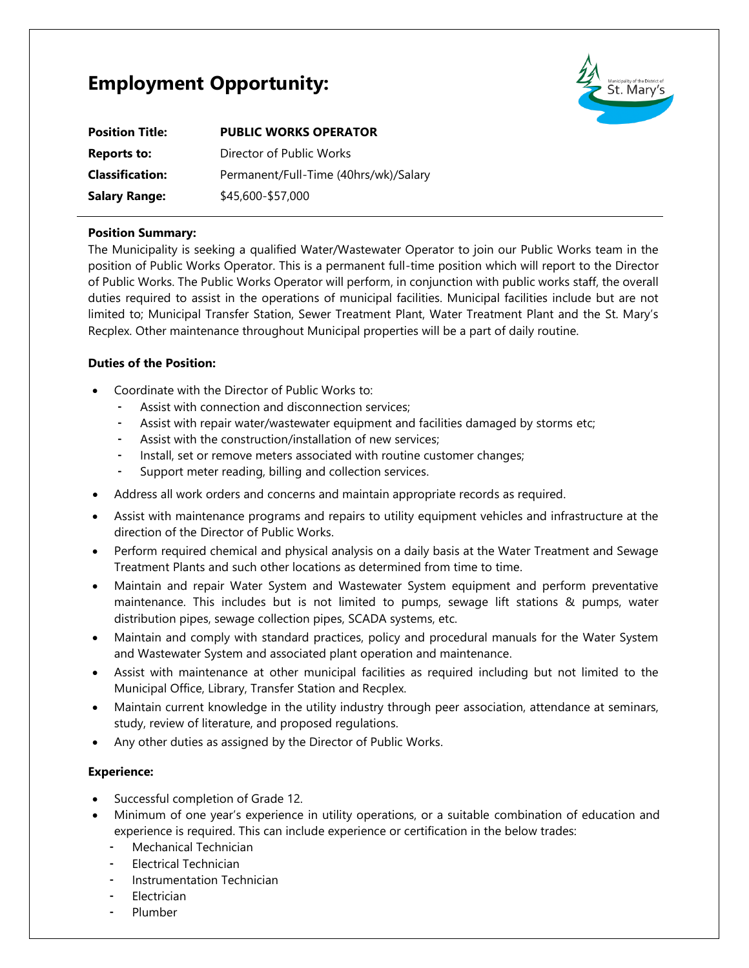# **Employment Opportunity:**



| <b>Position Title:</b> | <b>PUBLIC WORKS OPERATOR</b>          |
|------------------------|---------------------------------------|
| <b>Reports to:</b>     | Director of Public Works              |
| <b>Classification:</b> | Permanent/Full-Time (40hrs/wk)/Salary |
| <b>Salary Range:</b>   | \$45,600-\$57,000                     |

### **Position Summary:**

The Municipality is seeking a qualified Water/Wastewater Operator to join our Public Works team in the position of Public Works Operator. This is a permanent full-time position which will report to the Director of Public Works. The Public Works Operator will perform, in conjunction with public works staff, the overall duties required to assist in the operations of municipal facilities. Municipal facilities include but are not limited to; Municipal Transfer Station, Sewer Treatment Plant, Water Treatment Plant and the St. Mary's Recplex. Other maintenance throughout Municipal properties will be a part of daily routine.

## **Duties of the Position:**

- Coordinate with the Director of Public Works to:
	- Assist with connection and disconnection services;
	- Assist with repair water/wastewater equipment and facilities damaged by storms etc;
	- Assist with the construction/installation of new services;
	- Install, set or remove meters associated with routine customer changes;
	- Support meter reading, billing and collection services.
- Address all work orders and concerns and maintain appropriate records as required.
- Assist with maintenance programs and repairs to utility equipment vehicles and infrastructure at the direction of the Director of Public Works.
- Perform required chemical and physical analysis on a daily basis at the Water Treatment and Sewage Treatment Plants and such other locations as determined from time to time.
- Maintain and repair Water System and Wastewater System equipment and perform preventative maintenance. This includes but is not limited to pumps, sewage lift stations & pumps, water distribution pipes, sewage collection pipes, SCADA systems, etc.
- Maintain and comply with standard practices, policy and procedural manuals for the Water System and Wastewater System and associated plant operation and maintenance.
- Assist with maintenance at other municipal facilities as required including but not limited to the Municipal Office, Library, Transfer Station and Recplex.
- Maintain current knowledge in the utility industry through peer association, attendance at seminars, study, review of literature, and proposed regulations.
- Any other duties as assigned by the Director of Public Works.

#### **Experience:**

- Successful completion of Grade 12.
- Minimum of one year's experience in utility operations, or a suitable combination of education and experience is required. This can include experience or certification in the below trades:
	- Mechanical Technician
	- Electrical Technician
	- Instrumentation Technician
	- Electrician
	- **Plumber**